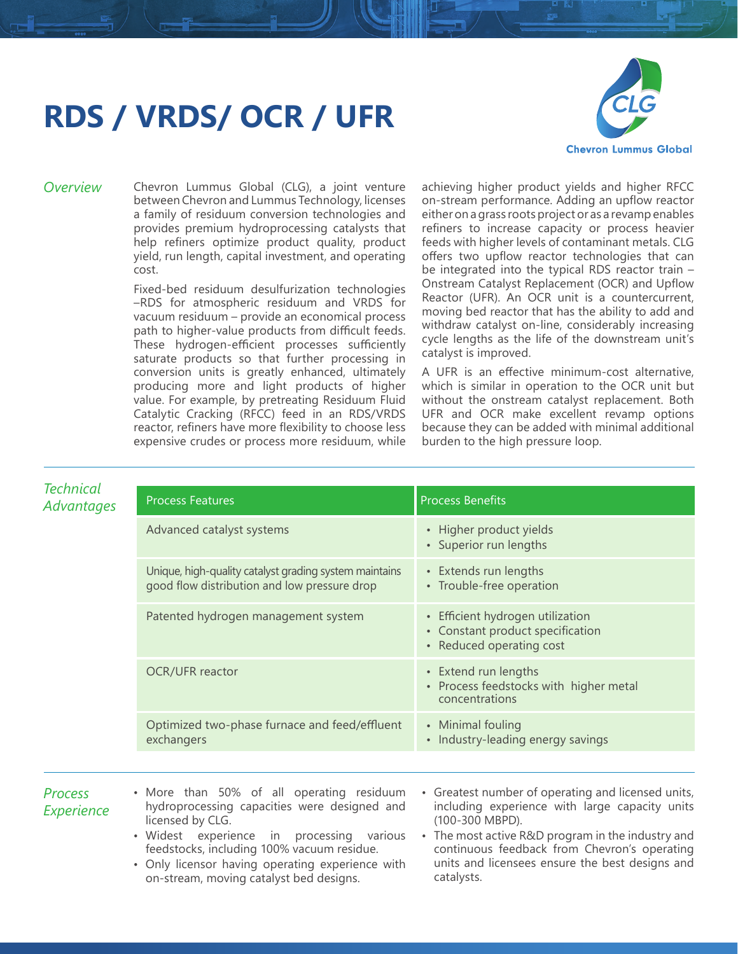## **RDS / VRDS/ OCR / UFR**



*Overview* Chevron Lummus Global (CLG), a joint venture between Chevron and Lummus Technology, licenses a family of residuum conversion technologies and provides premium hydroprocessing catalysts that help refiners optimize product quality, product yield, run length, capital investment, and operating cost.

> Fixed-bed residuum desulfurization technologies –RDS for atmospheric residuum and VRDS for vacuum residuum – provide an economical process path to higher-value products from difficult feeds. These hydrogen-efficient processes sufficiently saturate products so that further processing in conversion units is greatly enhanced, ultimately producing more and light products of higher value. For example, by pretreating Residuum Fluid Catalytic Cracking (RFCC) feed in an RDS/VRDS reactor, refiners have more flexibility to choose less expensive crudes or process more residuum, while

on-stream, moving catalyst bed designs.

achieving higher product yields and higher RFCC on-stream performance. Adding an upflow reactor either on a grass roots project or as a revamp enables refiners to increase capacity or process heavier feeds with higher levels of contaminant metals. CLG offers two upflow reactor technologies that can be integrated into the typical RDS reactor train – Onstream Catalyst Replacement (OCR) and Upflow Reactor (UFR). An OCR unit is a countercurrent, moving bed reactor that has the ability to add and withdraw catalyst on-line, considerably increasing cycle lengths as the life of the downstream unit's catalyst is improved.

A UFR is an effective minimum-cost alternative, which is similar in operation to the OCR unit but without the onstream catalyst replacement. Both UFR and OCR make excellent revamp options because they can be added with minimal additional burden to the high pressure loop.

| <b>Technical</b><br><b>Advantages</b> | <b>Process Features</b>                                                                                                                                                                                                                                                 | <b>Process Benefits</b>                                                                                                                                                                                                                                                         |
|---------------------------------------|-------------------------------------------------------------------------------------------------------------------------------------------------------------------------------------------------------------------------------------------------------------------------|---------------------------------------------------------------------------------------------------------------------------------------------------------------------------------------------------------------------------------------------------------------------------------|
|                                       | Advanced catalyst systems                                                                                                                                                                                                                                               | • Higher product yields<br>• Superior run lengths                                                                                                                                                                                                                               |
|                                       | Unique, high-quality catalyst grading system maintains<br>good flow distribution and low pressure drop                                                                                                                                                                  | • Extends run lengths<br>• Trouble-free operation                                                                                                                                                                                                                               |
|                                       | Patented hydrogen management system                                                                                                                                                                                                                                     | • Efficient hydrogen utilization<br>• Constant product specification<br>• Reduced operating cost                                                                                                                                                                                |
|                                       | OCR/UFR reactor                                                                                                                                                                                                                                                         | • Extend run lengths<br>• Process feedstocks with higher metal<br>concentrations                                                                                                                                                                                                |
|                                       | Optimized two-phase furnace and feed/effluent<br>exchangers                                                                                                                                                                                                             | • Minimal fouling<br>• Industry-leading energy savings                                                                                                                                                                                                                          |
|                                       |                                                                                                                                                                                                                                                                         |                                                                                                                                                                                                                                                                                 |
| <b>Process</b><br>Experience          | • More than 50% of all operating residuum<br>hydroprocessing capacities were designed and<br>licensed by CLG.<br>· Widest experience in processing various<br>feedstocks, including 100% vacuum residue.<br>Only licensor having operating experience with<br>$\bullet$ | • Greatest number of operating and licensed units,<br>including experience with large capacity units<br>(100-300 MBPD).<br>• The most active R&D program in the industry and<br>continuous feedback from Chevron's operating<br>units and licensees ensure the best designs and |

catalysts.